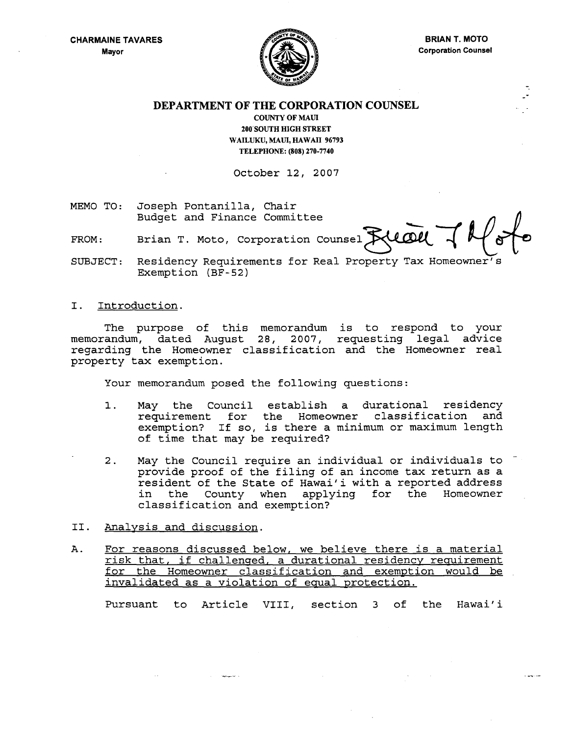

--

سياسيون

DEPARTMENT OF THE CORPORATION COUNSEL

COUNTY OF MAUl 200'SOUTH HIGH STREET WAILUKU, MAUI, HAWAII 96793 TELEPHONE: (808) 270-7740

October 12, 2007

MEMO TO: Joseph Pontanilla, Chair Budget and Finance Committee

FROM: Brian T. Moto, Corporation Counsel RUCOU

SUBJECT: Residency Requirements for Real Property Tax Homeowner's Exemption (BF-52)

I. Introduction.

The purpose of this memorandum is to respond to your memorandum, dated August 28, 2007, requesting legal advice regarding the Homeowner classification and the Homeowner real property tax exemption.

Your memorandum posed the following questions:

- 1. May the Council establish a durational residency requirement for the Homeowner classification and exemption? If so, is there a minimum or maximum length of time that may be required?
- 2. May the Council require an individual or individuals to provide proof of the filing of an income tax return as a resident of the State of Hawai'i with a reported address in the County when applying for the Homeowner classification and exemption?
- II. Analysis and discussion.
- A. For reasons discussed below, we believe there is a material risk that, if challenged, a durational residency requirement for the Homeowner classification and exemption would be invalidated as a violation of equal protection.

Pursuant to Article VIII, section 3 of the Hawai'i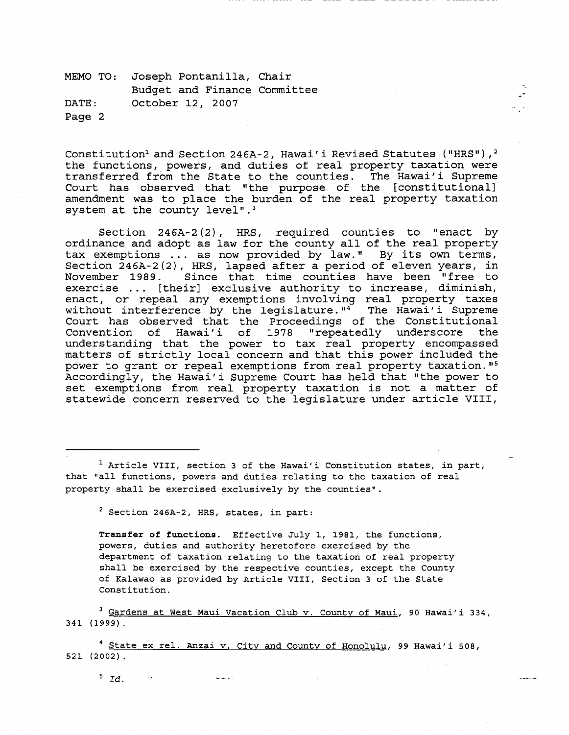Constitution<sup>1</sup> and Section 246A-2, Hawai' i Revised Statutes ("HRS"),<sup>2</sup> the functions, powers, and duties of real property taxation were transferred from the State to the counties. The Hawai'i Supreme Court has observed that "the purpose of the [constitutional] amendment was to place the burden of the real property taxation system at the county level".<sup>3</sup>

Section 246A-2(2), HRS, required counties to "enact by ordinance and adopt as law for the county all of the real property tax exemptions ... as now provided by law." By its own terms, Section 246A-2(2), HRS, lapsed after a period of eleven years, in<br>November 1989. Since that time counties have been "free to Since that time counties have been "free to exercise ... [their] exclusive authority to increase, diminish, enact, or repeal any exemptions involving real property taxes without interference by the legislature." $4$  The Hawai'i Supreme Court has observed that the Proceedings of the Constitutional Convention of Hawai'i of 1978 "repeatedly underscore the understanding that the power to tax real property encompassed matters of strictly local concern and that this power included the power to grant or repeal exemptions from real property taxation."s Accordingly, the Hawai'i Supreme Court has held that "the power to set exemptions from real property taxation is not a matter of statewide concern reserved to the legislature under article VIII,

<sup>1</sup> Article VIII, section 3 of the Hawai'i Constitution states, in part, that "all functions, powers and duties relating to the taxation of real property shall be exercised exclusively by the counties".

2 Section 246A-2, HRS, states, in part:

**Transfer of functions.** Effective July 1, 1981, the functions, powers, duties and authority heretofore exercised by the department of taxation relating to the taxation of real property shall be exercised by the respective counties, except the County of Kalawao as provided by Article VIII, Section 3 of the State Constitution.

<sup>3</sup> Gardens at West Maui Vacation Club v. County of Maui, 90 Hawai'i 334, 341 (1999).

4 State ex rel. Anzai v. City and County of Honolulu, 99 Hawai'i 508, 521 (2002).

 $5$   $Id.$ 

 $\sim 100$ 

--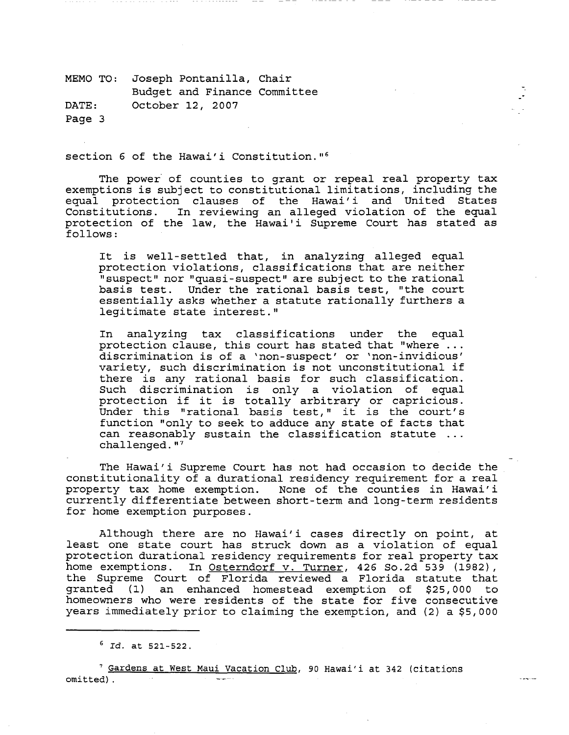section 6 of the Hawai'i Constitution."<sup>6</sup>

The power of counties to grant or repeal real property tax exemptions is subject to constitutional limitations, including the equal protection clauses of the Hawai'i and United States<br>Constitutions. In reviewing an alleged violation of the equal In reviewing an alleged violation of the equal protection of the law, the Hawai'i Supreme Court has stated as follows:

-.

It is well-settled that, in analyzing alleged equal protection violations, classifications that are neither "suspect" nor "quasi-suspect" are subject to the rational basis test. Under the rational basis test, "the court essentially asks whether a statute rationally furthers a legitimate state interest."

In analyzing tax classifications under the equal protection clause, this court has stated that "where  $\ldots$ discrimination is of a 'non-suspect' or 'non-invidious' variety, such discrimination is not unconstitutional if there is any rational basis for such classification. Such discrimination is only a violation of equal such discrimination is only a violation of equal<br>protection if it is totally arbitrary or capricious. protection if it is totally arbitrary or capricious.<br>Under this "rational basis test," it is the court's function "only to seek to adduce any state of facts that can reasonably sustain the classification statute challenged."<sup>7</sup>

The Hawai'i Supreme Court has not had occasion to decide the constitutionality of a durational residency requirement for a real property tax home exemption. None of the counties in Hawai'i currently differentiate between short-term and long-term residents for home exemption purposes.

Although there are no Hawai'i cases directly on point, at least one state court has struck down as a violation of equal protection durational residency requirements for real property tax home exemptions. In Osterndorf v. Turner, 426 So.2d 539 (1982), the Supreme Court of Florida reviewed a Florida statute that granted (1) an enhanced homestead exemption of \$25,000 to homeowners who were residents of the state for five consecutive years immediately prior to claiming the exemption, and (2) a \$5,000

<sup>6</sup>*Id.* at 521-522.

7 Gardens at West Maui Vacation Club, 90 Hawai'i at 342 (citations omitted) .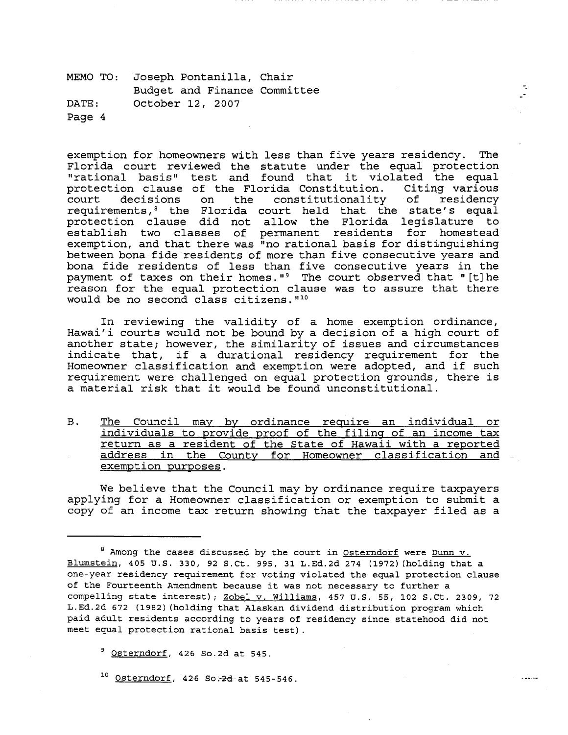exemption for homeowners with less than five years residency. The Florida court reviewed the statute under the equal protection "rational basis" test and found that it violated the equal protection clause of the Florida Constitution. Citing various the constitutionality of requirements, 8 the Florida court held that the state's equal protection clause did not allow the Florida legislature to establish two classes of permanent residents for homestead exemption, and that there was "no rational basis for distinguishing between bona fide residents of more than five consecutive years and bona fide residents of less than five consecutive years in the payment of taxes on their homes." 9 The court observed that "[t] he reason for the equal protection clause was to assure that there would be no second class citizens.  $"10"$ 

--

المستحدثات

In reviewing the validity of a home exemption ordinance, Hawai'i courts would not be bound by a decision of a high court of another state; however, the similarity of issues and circumstances indicate that, if a durational residency requirement for the Homeowner classification and exemption were adopted, and if such requirement were challenged on equal protection grounds, there is a material risk that it would be found unconstitutional.

B. The Council may by ordinance require an individual or individuals to provide proof of the filing of an income tax return as a resident of the State of Hawaii with a reported address in the County for Homeowner classification and \_ exemption purposes.

We believe that the Council may by ordinance require taxpayers applying for a Homeowner classification or exemption to submit a copy of an income tax return showing that the taxpayer filed as a

<sup>9</sup> Osterndorf, 426 So.2d at 545.

 $10$  Osterndorf, 426 So  $-2d$  at 545-546.

<sup>&</sup>lt;sup>8</sup> Among the cases discussed by the court in Osterndorf were Dunn v. Blumstein, 405 U.S. 330, 92 S.Ct. 995, 31 L.Ed.2d 274 (1972) (holding that a one-year residency requirement for voting violated the equal protection clause of the Fourteenth Amendment because it was not necessary to further a compelling state interest); Zobel v. williams, 457 U.S. 55, 102 S.Ct. 2309, 72 L.Ed.2d 672 (1982) (holding that Alaskan dividend distribution program which paid adult residents according to years of residency since statehood did not meet equal protection rational basis test).